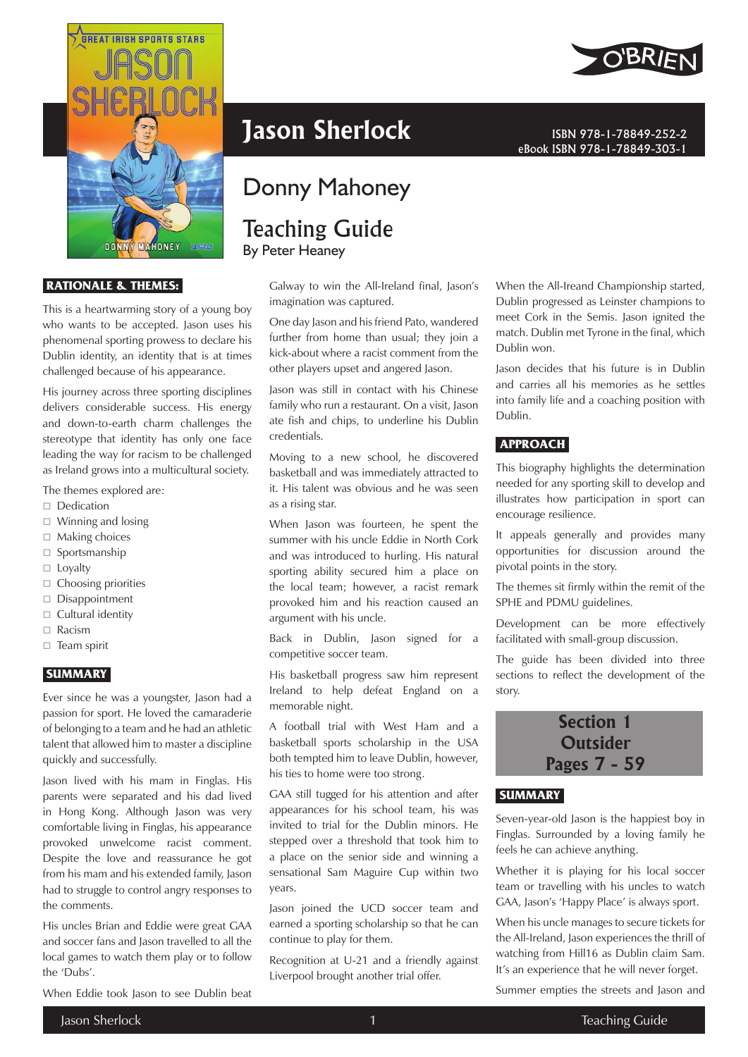

 **RATIONALE & THEMES:** 

This is a heartwarming story of a young boy who wants to be accepted. Jason uses his phenomenal sporting prowess to declare his Dublin identity, an identity that is at times challenged because of his appearance.

His journey across three sporting disciplines delivers considerable success. His energy and down-to-earth charm challenges the stereotype that identity has only one face leading the way for racism to be challenged as Ireland grows into a multicultural society.

The themes explored are:

- □ Dedication
- $\Box$  Winning and losing
- $\Box$  Making choices
- $\square$  Sportsmanship
- $\Box$  Loyalty
- $\Box$  Choosing priorities
- □ Disappointment
- $\Box$  Cultural identity
- □ Racism
- $\Box$  Team spirit

#### **SUMMARY**

Ever since he was a youngster, Jason had a passion for sport. He loved the camaraderie of belonging to a team and he had an athletic talent that allowed him to master a discipline quickly and successfully.

Jason lived with his mam in Finglas. His parents were separated and his dad lived in Hong Kong. Although Jason was very comfortable living in Finglas, his appearance provoked unwelcome racist comment. Despite the love and reassurance he got from his mam and his extended family, Jason had to struggle to control angry responses to the comments.

His uncles Brian and Eddie were great GAA and soccer fans and Jason travelled to all the local games to watch them play or to follow the 'Dubs'.

When Eddie took Jason to see Dublin beat



# Donny Mahoney

# Teaching Guide By Peter Heaney

Galway to win the All-Ireland final, Jason's imagination was captured.

One day Jason and his friend Pato, wandered further from home than usual; they join a kick-about where a racist comment from the other players upset and angered Jason.

Jason was still in contact with his Chinese family who run a restaurant. On a visit, Jason ate fish and chips, to underline his Dublin credentials.

Moving to a new school, he discovered basketball and was immediately attracted to it. His talent was obvious and he was seen as a rising star.

When Jason was fourteen, he spent the summer with his uncle Eddie in North Cork and was introduced to hurling. His natural sporting ability secured him a place on the local team; however, a racist remark provoked him and his reaction caused an argument with his uncle.

Back in Dublin, Jason signed for a competitive soccer team.

His basketball progress saw him represent Ireland to help defeat England on a memorable night.

A football trial with West Ham and a basketball sports scholarship in the USA both tempted him to leave Dublin, however, his ties to home were too strong.

GAA still tugged for his attention and after appearances for his school team, his was invited to trial for the Dublin minors. He stepped over a threshold that took him to a place on the senior side and winning a sensational Sam Maguire Cup within two years.

Jason joined the UCD soccer team and earned a sporting scholarship so that he can continue to play for them.

Recognition at U-21 and a friendly against Liverpool brought another trial offer.



eBook ISBN 978-1-78849-303-1

When the All-Ireand Championship started, Dublin progressed as Leinster champions to meet Cork in the Semis. Jason ignited the match. Dublin met Tyrone in the final, which Dublin won.

Jason decides that his future is in Dublin and carries all his memories as he settles into family life and a coaching position with Dublin.

#### **APPROACH**

This biography highlights the determination needed for any sporting skill to develop and illustrates how participation in sport can encourage resilience.

It appeals generally and provides many opportunities for discussion around the pivotal points in the story.

The themes sit firmly within the remit of the SPHE and PDMU guidelines.

Development can be more effectively facilitated with small-group discussion.

The guide has been divided into three sections to reflect the development of the story.



#### **SUMMARY**

Seven-year-old Jason is the happiest boy in Finglas. Surrounded by a loving family he feels he can achieve anything.

Whether it is playing for his local soccer team or travelling with his uncles to watch GAA, Jason's 'Happy Place' is always sport.

When his uncle manages to secure tickets for the All-Ireland, Jason experiences the thrill of watching from Hill16 as Dublin claim Sam. It's an experience that he will never forget.

Summer empties the streets and Jason and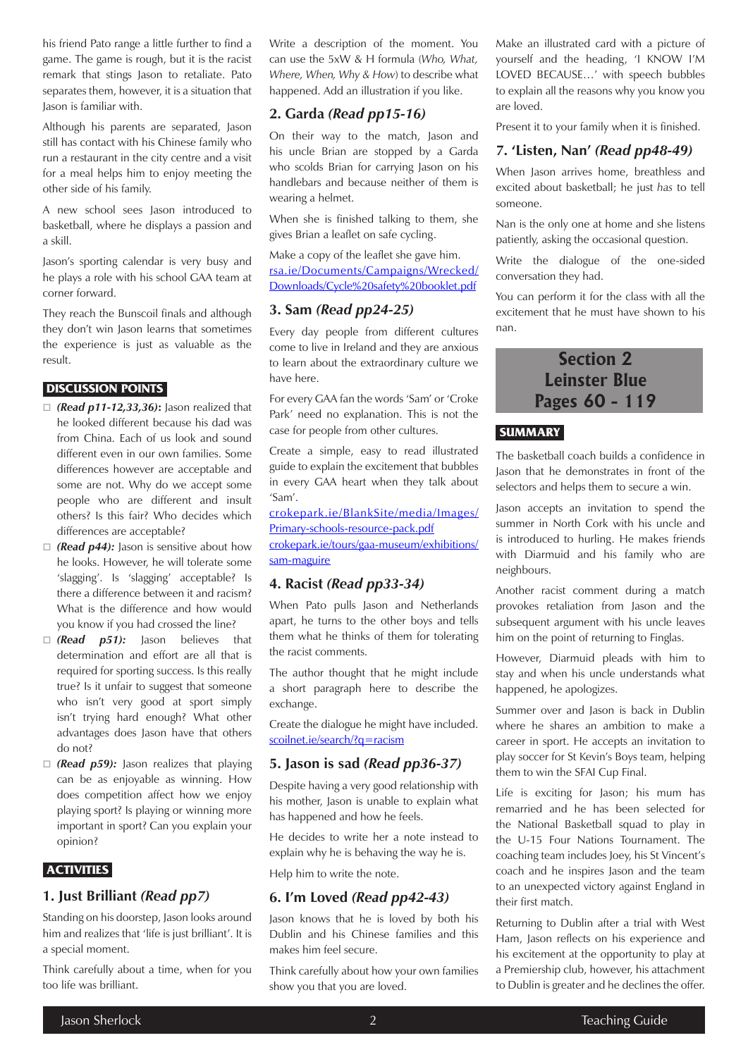his friend Pato range a little further to find a game. The game is rough, but it is the racist remark that stings Jason to retaliate. Pato separates them, however, it is a situation that Jason is familiar with.

Although his parents are separated, Jason still has contact with his Chinese family who run a restaurant in the city centre and a visit for a meal helps him to enjoy meeting the other side of his family.

A new school sees Jason introduced to basketball, where he displays a passion and a skill.

Jason's sporting calendar is very busy and he plays a role with his school GAA team at corner forward.

They reach the Bunscoil finals and although they don't win Jason learns that sometimes the experience is just as valuable as the result.

#### **DISCUSSION POINTS**

- *(Read p11-12,33,36)***:** Jason realized that he looked different because his dad was from China. Each of us look and sound different even in our own families. Some differences however are acceptable and some are not. Why do we accept some people who are different and insult others? Is this fair? Who decides which differences are acceptable?
- □ (**Read p44):** Jason is sensitive about how he looks. However, he will tolerate some 'slagging'. Is 'slagging' acceptable? Is there a difference between it and racism? What is the difference and how would you know if you had crossed the line?
- *(Read p51):* Jason believes that determination and effort are all that is required for sporting success. Is this really true? Is it unfair to suggest that someone who isn't very good at sport simply isn't trying hard enough? What other advantages does Jason have that others do not?
- □ (**Read p59):** Jason realizes that playing can be as enjoyable as winning. How does competition affect how we enjoy playing sport? Is playing or winning more important in sport? Can you explain your opinion?

### **ACTIVITIES**

### **1. Just Brilliant** *(Read pp7)*

Standing on his doorstep, Jason looks around him and realizes that 'life is just brilliant'. It is a special moment.

Think carefully about a time, when for you too life was brilliant.

Write a description of the moment. You can use the 5xW & H formula (*Who, What, Where, When, Why & How*) to describe what happened. Add an illustration if you like.

# **2. Garda** *(Read pp15-16)*

On their way to the match, Jason and his uncle Brian are stopped by a Garda who scolds Brian for carrying Jason on his handlebars and because neither of them is wearing a helmet.

When she is finished talking to them, she gives Brian a leaflet on safe cycling.

Make a copy of the leaflet she gave him.

[rsa.ie/Documents/Campaigns/Wrecked/](https://www.rsa.ie/Documents/Campaigns/Wrecked/Downloads/Cycle%20safety%20booklet.pdf) [Downloads/Cycle%20safety%20booklet.pdf](https://www.rsa.ie/Documents/Campaigns/Wrecked/Downloads/Cycle%20safety%20booklet.pdf)

## **3. Sam** *(Read pp24-25)*

Every day people from different cultures come to live in Ireland and they are anxious to learn about the extraordinary culture we have here.

For every GAA fan the words 'Sam' or 'Croke Park' need no explanation. This is not the case for people from other cultures.

Create a simple, easy to read illustrated guide to explain the excitement that bubbles in every GAA heart when they talk about 'Sam'.

[crokepark.ie/BlankSite/media/Images/](https://crokepark.ie/BlankSite/media/Images/Primary-schools-resource-pack.pdf) [Primary-schools-resource-pack.pdf](https://crokepark.ie/BlankSite/media/Images/Primary-schools-resource-pack.pdf) [crokepark.ie/tours/gaa-museum/exhibitions/](https://crokepark.ie/tours/gaa-museum/exhibitions/sam-maguire)

[sam-maguire](https://crokepark.ie/tours/gaa-museum/exhibitions/sam-maguire)

# **4. Racist** *(Read pp33-34)*

When Pato pulls Jason and Netherlands apart, he turns to the other boys and tells them what he thinks of them for tolerating the racist comments.

The author thought that he might include a short paragraph here to describe the exchange.

Create the dialogue he might have included. [scoilnet.ie/search/?q=racism](https://www.scoilnet.ie/search/?q=racism)

# **5. Jason is sad** *(Read pp36-37)*

Despite having a very good relationship with his mother, Jason is unable to explain what has happened and how he feels.

He decides to write her a note instead to explain why he is behaving the way he is.

Help him to write the note.

### **6. I'm Loved** *(Read pp42-43)*

Jason knows that he is loved by both his Dublin and his Chinese families and this makes him feel secure.

Think carefully about how your own families show you that you are loved.

Make an illustrated card with a picture of yourself and the heading, 'I KNOW I'M LOVED BECAUSE…' with speech bubbles to explain all the reasons why you know you are loved.

Present it to your family when it is finished.

# **7. 'Listen, Nan'** *(Read pp48-49)*

When Jason arrives home, breathless and excited about basketball; he just *has* to tell someone.

Nan is the only one at home and she listens patiently, asking the occasional question.

Write the dialogue of the one-sided conversation they had.

You can perform it for the class with all the excitement that he must have shown to his nan.

# **Section 2 Leinster Blue Pages 60 - 119**

# **SUMMARY**

The basketball coach builds a confidence in Jason that he demonstrates in front of the selectors and helps them to secure a win.

Jason accepts an invitation to spend the summer in North Cork with his uncle and is introduced to hurling. He makes friends with Diarmuid and his family who are neighbours.

Another racist comment during a match provokes retaliation from Jason and the subsequent argument with his uncle leaves him on the point of returning to Finglas.

However, Diarmuid pleads with him to stay and when his uncle understands what happened, he apologizes.

Summer over and Jason is back in Dublin where he shares an ambition to make a career in sport. He accepts an invitation to play soccer for St Kevin's Boys team, helping them to win the SFAI Cup Final.

Life is exciting for Jason; his mum has remarried and he has been selected for the National Basketball squad to play in the U-15 Four Nations Tournament. The coaching team includes Joey, his St Vincent's coach and he inspires Jason and the team to an unexpected victory against England in their first match.

Returning to Dublin after a trial with West Ham, Jason reflects on his experience and his excitement at the opportunity to play at a Premiership club, however, his attachment to Dublin is greater and he declines the offer.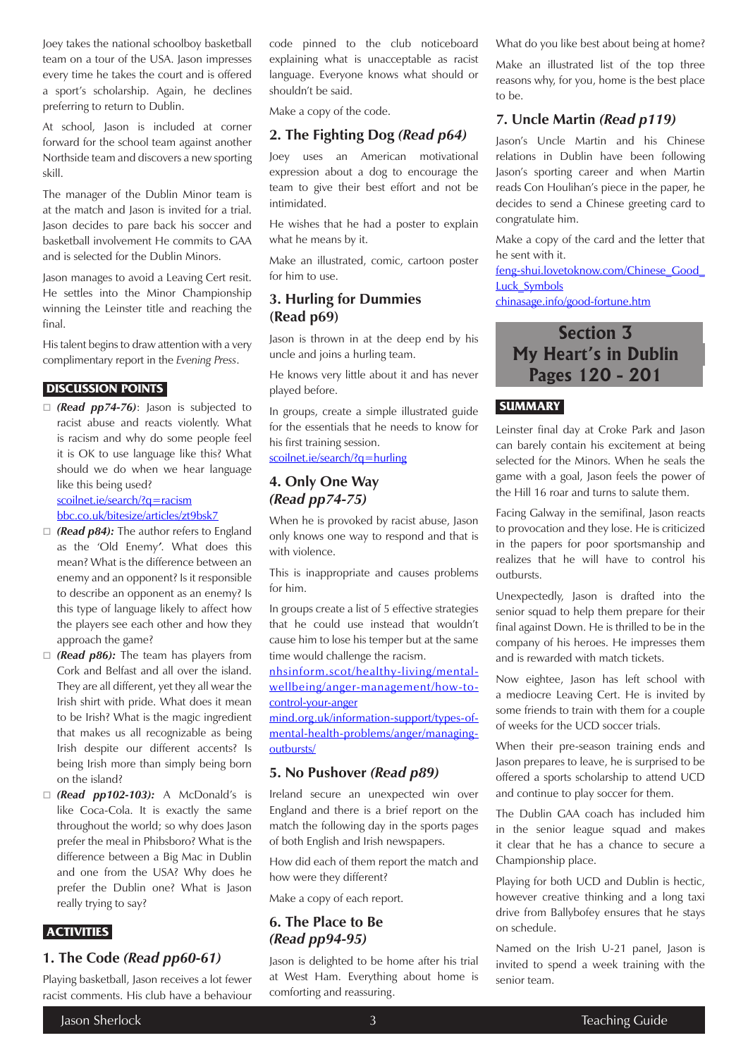Joey takes the national schoolboy basketball team on a tour of the USA. Jason impresses every time he takes the court and is offered a sport's scholarship. Again, he declines preferring to return to Dublin.

At school, Jason is included at corner forward for the school team against another Northside team and discovers a new sporting skill.

The manager of the Dublin Minor team is at the match and Jason is invited for a trial. Jason decides to pare back his soccer and basketball involvement He commits to GAA and is selected for the Dublin Minors.

Jason manages to avoid a Leaving Cert resit. He settles into the Minor Championship winning the Leinster title and reaching the final.

His talent begins to draw attention with a very complimentary report in the *Evening Press*.

#### **DISCUSSION POINTS**

 *(Read pp74-76)*: Jason is subjected to racist abuse and reacts violently. What is racism and why do some people feel it is OK to use language like this? What should we do when we hear language like this being used?

[scoilnet.ie/search/?q=racism](https://www.scoilnet.ie/search/?q=racism) [bbc.co.uk/bitesize/articles/zt9bsk7](https://www.bbc.co.uk/bitesize/articles/zt9bsk7)

- *(Read p84):* The author refers to England as the 'Old Enemy*'*. What does this mean? What is the difference between an enemy and an opponent? Is it responsible
- to describe an opponent as an enemy? Is this type of language likely to affect how the players see each other and how they approach the game?
- *(Read p86):* The team has players from Cork and Belfast and all over the island. They are all different, yet they all wear the Irish shirt with pride. What does it mean to be Irish? What is the magic ingredient that makes us all recognizable as being Irish despite our different accents? Is being Irish more than simply being born on the island?
- *(Read pp102-103):* A McDonald's is like Coca-Cola. It is exactly the same throughout the world; so why does Jason prefer the meal in Phibsboro? What is the difference between a Big Mac in Dublin and one from the USA? Why does he prefer the Dublin one? What is Jason really trying to say?

### **ACTIVITIES**

# **1. The Code** *(Read pp60-61)*

Playing basketball, Jason receives a lot fewer racist comments. His club have a behaviour

code pinned to the club noticeboard explaining what is unacceptable as racist language. Everyone knows what should or shouldn't be said.

Make a copy of the code.

# **2. The Fighting Dog** *(Read p64)*

Joey uses an American motivational expression about a dog to encourage the team to give their best effort and not be intimidated.

He wishes that he had a poster to explain what he means by it.

Make an illustrated, comic, cartoon poster for him to use.

# **3. Hurling for Dummies (Read p69)**

Jason is thrown in at the deep end by his uncle and joins a hurling team.

He knows very little about it and has never played before.

In groups, create a simple illustrated guide for the essentials that he needs to know for his first training session.

#### [scoilnet.ie/search/?q=hurling](https://www.scoilnet.ie/search/?q=hurling)

# **4. Only One Way**  *(Read pp74-75)*

When he is provoked by racist abuse, Jason only knows one way to respond and that is with violence.

This is inappropriate and causes problems for him.

In groups create a list of 5 effective strategies that he could use instead that wouldn't cause him to lose his temper but at the same time would challenge the racism.

[nhsinform.scot/healthy-living/mental](https://www.nhsinform.scot/healthy-living/mental-wellbeing/anger-management/how-to-control-your-anger)[wellbeing/anger-management/how-to](https://www.nhsinform.scot/healthy-living/mental-wellbeing/anger-management/how-to-control-your-anger)[control-your-anger](https://www.nhsinform.scot/healthy-living/mental-wellbeing/anger-management/how-to-control-your-anger)

[mind.org.uk/information-support/types-of](https://www.mind.org.uk/information-support/types-of-mental-health-problems/anger/managing-outbursts/)[mental-health-problems/anger/managing](https://www.mind.org.uk/information-support/types-of-mental-health-problems/anger/managing-outbursts/)[outbursts/](https://www.mind.org.uk/information-support/types-of-mental-health-problems/anger/managing-outbursts/)

#### **5. No Pushover** *(Read p89)*

Ireland secure an unexpected win over England and there is a brief report on the match the following day in the sports pages of both English and Irish newspapers.

How did each of them report the match and how were they different?

Make a copy of each report.

# **6. The Place to Be**  *(Read pp94-95)*

Jason is delighted to be home after his trial at West Ham. Everything about home is comforting and reassuring.

What do you like best about being at home?

Make an illustrated list of the top three reasons why, for you, home is the best place to be.

## **7. Uncle Martin** *(Read p119)*

Jason's Uncle Martin and his Chinese relations in Dublin have been following Jason's sporting career and when Martin reads Con Houlihan's piece in the paper, he decides to send a Chinese greeting card to congratulate him.

Make a copy of the card and the letter that he sent with it.

[feng-shui.lovetoknow.com/Chinese\\_Good\\_](https://feng-shui.lovetoknow.com/Chinese_Good_Luck_Symbols) [Luck\\_Symbols](https://feng-shui.lovetoknow.com/Chinese_Good_Luck_Symbols)

[chinasage.info/good-fortune.htm](https://www.chinasage.info/good-fortune.htm)

# **Section 3 My Heart's in Dublin Pages 120 - 201**

# **SUMMARY**

Leinster final day at Croke Park and Jason can barely contain his excitement at being selected for the Minors. When he seals the game with a goal, Jason feels the power of the Hill 16 roar and turns to salute them.

Facing Galway in the semifinal, Jason reacts to provocation and they lose. He is criticized in the papers for poor sportsmanship and realizes that he will have to control his outbursts.

Unexpectedly, Jason is drafted into the senior squad to help them prepare for their final against Down. He is thrilled to be in the company of his heroes. He impresses them and is rewarded with match tickets.

Now eightee, Jason has left school with a mediocre Leaving Cert. He is invited by some friends to train with them for a couple of weeks for the UCD soccer trials.

When their pre-season training ends and Jason prepares to leave, he is surprised to be offered a sports scholarship to attend UCD and continue to play soccer for them.

The Dublin GAA coach has included him in the senior league squad and makes it clear that he has a chance to secure a Championship place.

Playing for both UCD and Dublin is hectic, however creative thinking and a long taxi drive from Ballybofey ensures that he stays on schedule.

Named on the Irish U-21 panel, Jason is invited to spend a week training with the senior team.